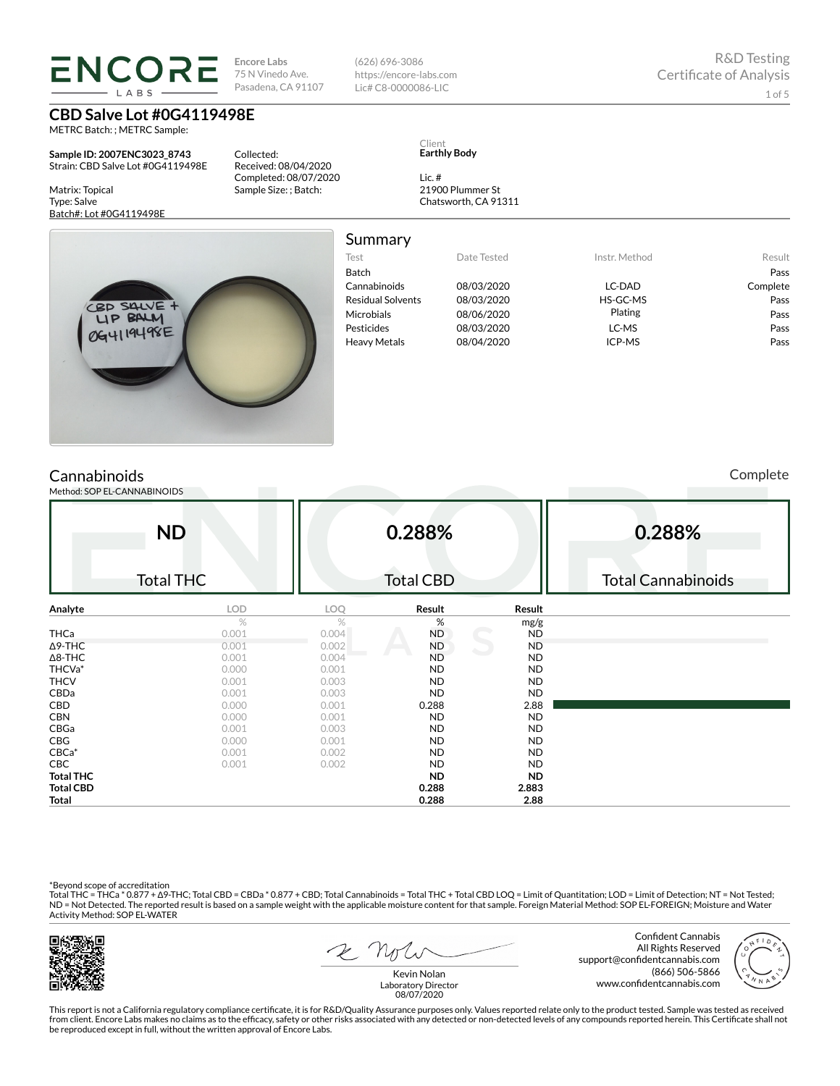**Encore Labs** 75 N Vinedo Ave. Pasadena, CA 91107

Received: 08/04/2020 Completed: 08/07/2020 Sample Size: ; Batch:

Collected:

**CBD Salve Lot #0G4119498E**

**ENCORE LARS** 

METRC Batch: ; METRC Sample:

**Sample ID: 2007ENC3023\_8743** Strain: CBD Salve Lot #0G4119498E

> SAIVE **BALM** 0G4119498E

Matrix: Topical Type: Salve Batch#: Lot #0G4119498E

Summary

(626) 696-3086 https://encore-labs.com Lic# C8-0000086-LIC

> Client **Earthly Body**

Lic. #

21900 Plummer St Chatsworth, CA 91311

| <b>Julillial</b> y       |             |               |          |
|--------------------------|-------------|---------------|----------|
| Test                     | Date Tested | Instr. Method | Result   |
| <b>Batch</b>             |             |               | Pass     |
| Cannabinoids             | 08/03/2020  | LC-DAD        | Complete |
| <b>Residual Solvents</b> | 08/03/2020  | HS-GC-MS      | Pass     |
| <b>Microbials</b>        | 08/06/2020  | Plating       | Pass     |
| Pesticides               | 08/03/2020  | LC-MS         | Pass     |
| <b>Heavy Metals</b>      | 08/04/2020  | ICP-MS        | Pass     |
|                          |             |               |          |

## **Cannabinoids**

Method: SOP EI

Complete

| -CANNABINOIDS               |                             |                  |                  |                           |
|-----------------------------|-----------------------------|------------------|------------------|---------------------------|
| <b>ND</b>                   |                             | 0.288%           |                  | 0.288%                    |
| <b>Total THC</b>            |                             | <b>Total CBD</b> |                  | <b>Total Cannabinoids</b> |
| <b>LOD</b>                  | <b>LOO</b>                  | Result           | Result           |                           |
| $\sim$ $\sim$ $\sim$ $\sim$ | $\sim$ $\sim$ $\sim$ $\sim$ | $\sim$ $\sim$    | mg/g<br>$\cdots$ |                           |

| Analyte          | <b>LOD</b> | LOQ   | Result    | Result    |  |
|------------------|------------|-------|-----------|-----------|--|
|                  | $\%$       | %     | %         | mg/g      |  |
| <b>THCa</b>      | 0.001      | 0.004 | <b>ND</b> | <b>ND</b> |  |
| $\Delta$ 9-THC   | 0.001      | 0.002 | <b>ND</b> | <b>ND</b> |  |
| $\Delta$ 8-THC   | 0.001      | 0.004 | <b>ND</b> | <b>ND</b> |  |
| THCVa*           | 0.000      | 0.001 | ND.       | <b>ND</b> |  |
| <b>THCV</b>      | 0.001      | 0.003 | ND.       | <b>ND</b> |  |
| CBDa             | 0.001      | 0.003 | <b>ND</b> | <b>ND</b> |  |
| CBD              | 0.000      | 0.001 | 0.288     | 2.88      |  |
| <b>CBN</b>       | 0.000      | 0.001 | <b>ND</b> | <b>ND</b> |  |
| CBGa             | 0.001      | 0.003 | ND.       | <b>ND</b> |  |
| <b>CBG</b>       | 0.000      | 0.001 | ND.       | <b>ND</b> |  |
| $CBCa*$          | 0.001      | 0.002 | <b>ND</b> | <b>ND</b> |  |
| <b>CBC</b>       | 0.001      | 0.002 | <b>ND</b> | <b>ND</b> |  |
| <b>Total THC</b> |            |       | ND.       | <b>ND</b> |  |
| <b>Total CBD</b> |            |       | 0.288     | 2.883     |  |
| <b>Total</b>     |            |       | 0.288     | 2.88      |  |

\*Beyond scope of accreditation<br>Total THC = THCa \* 0.877 + ∆9-THC; Total CBD = CBDa \* 0.877 + CBD; Total Cannabinoids = Total THC + Total CBD LOQ = Limit of Quantitation; LOD = Limit of Detection; NT = Not Tested; ND = Not Detected. The reported result is based on a sample weight with the applicable moisture content for that sample. Foreign Material Method: SOP EL-FOREIGN; Moisture and Water Activity Method: SOP EL-WATER



2 Note

Confident Cannabis All Rights Reserved support@confidentcannabis.com (866) 506-5866 www.confidentcannabis.com



Kevin Nolan Laboratory Director 08/07/2020

This report is not a California regulatory compliance certificate, it is for R&D/Quality Assurance purposes only. Values reported relate only to the product tested. Sample was tested as received from client. Encore Labs makes no claims as to the efficacy, safety or other risks associated with any detected or non-detected levels of any compounds reported herein. This Certificate shall not<br>be reproduced except in fu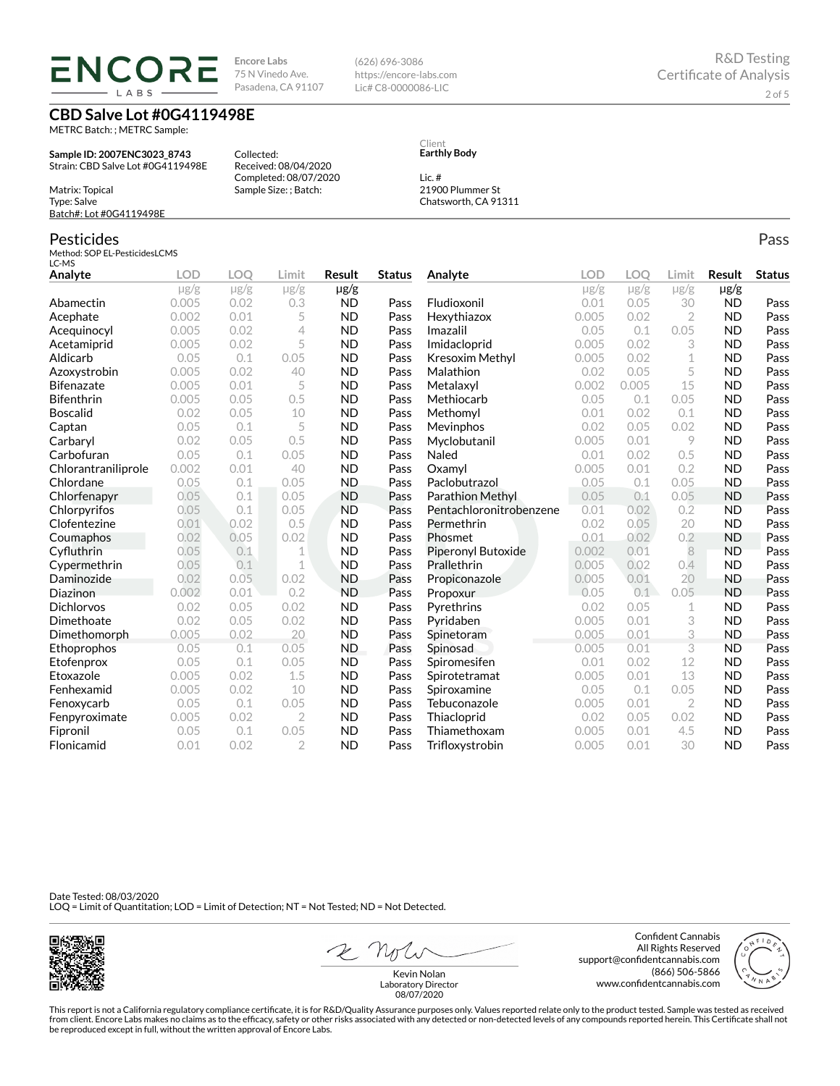**ENCORE** LABS

**Encore Labs** 75 N Vinedo Ave. Pasadena, CA 91107

Received: 08/04/2020 Completed: 08/07/2020 Sample Size: ; Batch:

Collected:

**CBD Salve Lot #0G4119498E**

METRC Batch: ; METRC Sample:

**Sample ID: 2007ENC3023\_8743** Strain: CBD Salve Lot #0G4119498E

Matrix: Topical Type: Salve Batch#: Lot #0G4119498E

### Pesticides

Method: SOP EL-PesticidesLCMS LC-MS

| Analyte             | LOD       | <b>LOO</b> | Limit          | <b>Result</b>  | <b>Status</b> | Analyte                 | LOD       | LOQ       | Limit          | <b>Result</b> | <b>Status</b> |
|---------------------|-----------|------------|----------------|----------------|---------------|-------------------------|-----------|-----------|----------------|---------------|---------------|
|                     | $\mu$ g/g | $\mu$ g/g  | $\mu$ g/g      | $\mu$ g/g      |               |                         | $\mu$ g/g | $\mu$ g/g | $\mu$ g/g      | $\mu$ g/g     |               |
| Abamectin           | 0.005     | 0.02       | 0.3            | <b>ND</b>      | Pass          | Fludioxonil             | 0.01      | 0.05      | 30             | <b>ND</b>     | Pass          |
| Acephate            | 0.002     | 0.01       | 5              | <b>ND</b>      | Pass          | Hexythiazox             | 0.005     | 0.02      | $\overline{2}$ | <b>ND</b>     | Pass          |
| Acequinocyl         | 0.005     | 0.02       | 4              | <b>ND</b>      | Pass          | Imazalil                | 0.05      | 0.1       | 0.05           | <b>ND</b>     | Pass          |
| Acetamiprid         | 0.005     | 0.02       | 5              | <b>ND</b>      | Pass          | Imidacloprid            | 0.005     | 0.02      | 3              | <b>ND</b>     | Pass          |
| Aldicarb            | 0.05      | 0.1        | 0.05           | <b>ND</b>      | Pass          | Kresoxim Methyl         | 0.005     | 0.02      | 1              | <b>ND</b>     | Pass          |
| Azoxystrobin        | 0.005     | 0.02       | 40             | <b>ND</b>      | Pass          | Malathion               | 0.02      | 0.05      | 5              | <b>ND</b>     | Pass          |
| Bifenazate          | 0.005     | 0.01       | 5              | <b>ND</b>      | Pass          | Metalaxyl               | 0.002     | 0.005     | 15             | <b>ND</b>     | Pass          |
| <b>Bifenthrin</b>   | 0.005     | 0.05       | 0.5            | <b>ND</b>      | Pass          | Methiocarb              | 0.05      | 0.1       | 0.05           | <b>ND</b>     | Pass          |
| <b>Boscalid</b>     | 0.02      | 0.05       | 10             | <b>ND</b>      | Pass          | Methomyl                | 0.01      | 0.02      | 0.1            | <b>ND</b>     | Pass          |
| Captan              | 0.05      | 0.1        | 5              | <b>ND</b>      | Pass          | <b>Mevinphos</b>        | 0.02      | 0.05      | 0.02           | <b>ND</b>     | Pass          |
| Carbaryl            | 0.02      | 0.05       | 0.5            | <b>ND</b>      | Pass          | Myclobutanil            | 0.005     | 0.01      | 9              | <b>ND</b>     | Pass          |
| Carbofuran          | 0.05      | 0.1        | 0.05           | <b>ND</b>      | Pass          | Naled                   | 0.01      | 0.02      | 0.5            | <b>ND</b>     | Pass          |
| Chlorantraniliprole | 0.002     | 0.01       | 40             | <b>ND</b>      | Pass          | Oxamyl                  | 0.005     | 0.01      | 0.2            | <b>ND</b>     | Pass          |
| Chlordane           | 0.05      | 0.1        | 0.05           | <b>ND</b>      | Pass          | Paclobutrazol           | 0.05      | 0.1       | 0.05           | <b>ND</b>     | Pass          |
| Chlorfenapyr        | 0.05      | 0.1        | 0.05           | <b>ND</b>      | Pass          | Parathion Methyl        | 0.05      | 0.1       | 0.05           | <b>ND</b>     | Pass          |
| Chlorpyrifos        | 0.05      | 0.1        | 0.05           | <b>ND</b>      | Pass          | Pentachloronitrobenzene | 0.01      | 0.02      | 0.2            | <b>ND</b>     | Pass          |
| Clofentezine        | 0.01      | 0.02       | 0.5            | <b>ND</b>      | Pass          | Permethrin              | 0.02      | 0.05      | 20             | <b>ND</b>     | Pass          |
| Coumaphos           | 0.02      | 0.05       | 0.02           | <b>ND</b>      | Pass          | Phosmet                 | 0.01      | 0.02      | 0.2            | <b>ND</b>     | Pass          |
| Cyfluthrin          | 0.05      | 0.1        | 1              | <b>ND</b>      | Pass          | Piperonyl Butoxide      | 0.002     | 0.01      | 8              | <b>ND</b>     | Pass          |
| Cypermethrin        | 0.05      | 0.1        | 1              | <b>ND</b>      | Pass          | Prallethrin             | 0.005     | 0.02      | 0.4            | <b>ND</b>     | Pass          |
| Daminozide          | 0.02      | 0.05       | 0.02           | <b>ND</b>      | Pass          | Propiconazole           | 0.005     | 0.01      | 20             | <b>ND</b>     | Pass          |
| Diazinon            | 0.002     | 0.01       | 0.2            | <b>ND</b>      | Pass          | Propoxur                | 0.05      | 0.1       | 0.05           | <b>ND</b>     | Pass          |
| <b>Dichlorvos</b>   | 0.02      | 0.05       | 0.02           | <b>ND</b>      | Pass          | Pyrethrins              | 0.02      | 0.05      | 1              | <b>ND</b>     | Pass          |
| Dimethoate          | 0.02      | 0.05       | 0.02           | <b>ND</b>      | Pass          | Pyridaben               | 0.005     | 0.01      | 3              | <b>ND</b>     | Pass          |
| Dimethomorph        | 0.005     | 0.02       | 20             | <b>ND</b>      | Pass          | Spinetoram              | 0.005     | 0.01      | 3              | <b>ND</b>     | Pass          |
| Ethoprophos         | 0.05      | 0.1        | 0.05           | N <sub>D</sub> | Pass          | Spinosad                | 0.005     | 0.01      | 3              | <b>ND</b>     | Pass          |
| Etofenprox          | 0.05      | 0.1        | 0.05           | <b>ND</b>      | Pass          | Spiromesifen            | 0.01      | 0.02      | 12             | <b>ND</b>     | Pass          |
| Etoxazole           | 0.005     | 0.02       | 1.5            | <b>ND</b>      | Pass          | Spirotetramat           | 0.005     | 0.01      | 13             | <b>ND</b>     | Pass          |
| Fenhexamid          | 0.005     | 0.02       | 10             | <b>ND</b>      | Pass          | Spiroxamine             | 0.05      | 0.1       | 0.05           | <b>ND</b>     | Pass          |
| Fenoxycarb          | 0.05      | 0.1        | 0.05           | <b>ND</b>      | Pass          | Tebuconazole            | 0.005     | 0.01      | $\overline{2}$ | <b>ND</b>     | Pass          |
| Fenpyroximate       | 0.005     | 0.02       | $\overline{2}$ | <b>ND</b>      | Pass          | Thiacloprid             | 0.02      | 0.05      | 0.02           | <b>ND</b>     | Pass          |
| Fipronil            | 0.05      | 0.1        | 0.05           | <b>ND</b>      | Pass          | Thiamethoxam            | 0.005     | 0.01      | 4.5            | <b>ND</b>     | Pass          |
| Flonicamid          | 0.01      | 0.02       | $\mathfrak{D}$ | <b>ND</b>      | Pass          | Trifloxystrobin         | 0.005     | 0.01      | 30             | <b>ND</b>     | Pass          |

Date Tested: 08/03/2020 LOQ = Limit of Quantitation; LOD = Limit of Detection; NT = Not Tested; ND = Not Detected.



2 Note

Confident Cannabis All Rights Reserved support@confidentcannabis.com (866) 506-5866 www.confidentcannabis.com

Kevin Nolan Laboratory Director 08/07/2020

This report is not a California regulatory compliance certificate, it is for R&D/Quality Assurance purposes only. Values reported relate only to the product tested. Sample was tested as received from client. Encore Labs makes no claims as to the efficacy, safety or other risks associated with any detected or non-detected levels of any compounds reported herein. This Certificate shall not<br>be reproduced except in fu

Client **Earthly Body**

Lic. #

(626) 696-3086 https://encore-labs.com Lic# C8-0000086-LIC

> 21900 Plummer St Chatsworth, CA 91311

> > Pass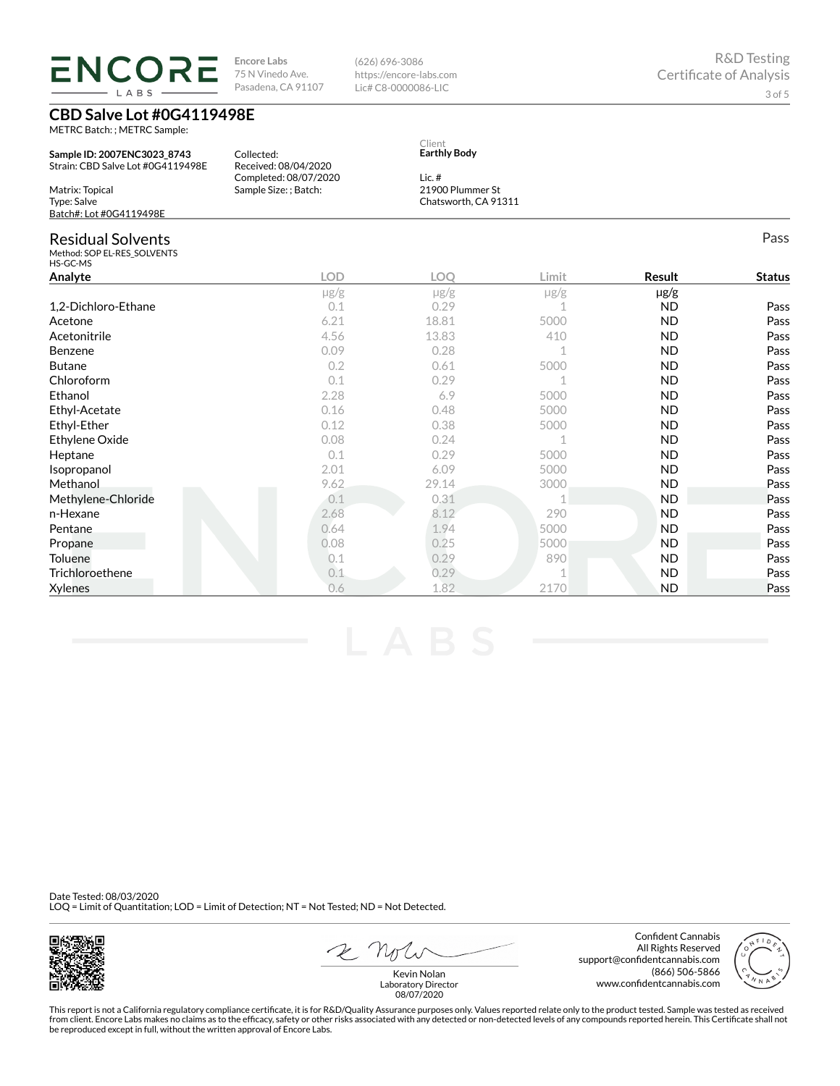**ENCORE Encore Labs** 75 N Vinedo Ave. Pasadena, CA 91107 **LARS** 

**CBD Salve Lot #0G4119498E**

METRC Batch: ; METRC Sample:

**Sample ID: 2007ENC3023\_8743** Strain: CBD Salve Lot #0G4119498E Matrix: Topical Type: Salve Batch#: Lot #0G4119498E Collected: Received: 08/04/2020 Completed: 08/07/2020 Sample Size: ; Batch: **Earthly Body** Lic. # 21900 Plummer St Chatsworth, CA 91311 Residual Solvents Method: SOP EL-RES\_SOLVENTS HS-GC-MS Pass **Analyte LOD LOQ Limit Result Status** µg/g µg/g µg/g µg/g 1,2-Dichloro-Ethane 2010 0.1 0.29 1 ND Pass Acetone 6.21 18.81 5000 ND Pass Acetonitrile 4.56 13.83 410 ND Pass Benzene 0.09 0.28 1 ND Pass Butane 0.2 0.61 5000 ND Pass  $0.1$  0.29 1 ND Pass Ethanol 2.28 6.9 5000 ND Pass Ethyl-Acetate 0.16 0.48 5000 ND Pass Ethyl-Ether 0.12 0.38 5000 ND Pass Ethylene Oxide 0.08 0.24 1 ND Pass **Heptane 19 Contract Contract Contract Contract Contract Contract Contract Contract Contract Contract Contract Contract Pass** Isopropanol 2.01 6.09 5000 ND Pass Methanol 9.62 29.14 3000 ND Pass Methylene-Chloride 0.1 0.31 1 ND Pass n-Hexane 2.68 8.12 2.90 ND Pass **Pentane 2.1.94 5000 ND Pass Propane 2.08 5000 ND Pass** Toluene 0.1 0.29 890 ND Pass

Client

(626) 696-3086 https://encore-labs.com Lic# C8-0000086-LIC

Date Tested: 08/03/2020 LOQ = Limit of Quantitation; LOD = Limit of Detection; NT = Not Tested; ND = Not Detected.

Kevin Nolan Laboratory Director

This report is not a California regulatory compliance certificate, it is for R&D/Quality Assurance purposes only. Values reported relate only to the product tested. Sample was tested as received from client. Encore Labs makes no claims as to the efficacy, safety or other risks associated with any detected or non-detected levels of any compounds reported herein. This Certificate shall not be reproduced except in full, without the written approval of Encore Labs.

08/07/2020

2 not

Confident Cannabis All Rights Reserved support@confidentcannabis.com (866) 506-5866 www.confidentcannabis.com





Trichloroethene 0.1 0.29 1 ND Pass Xylenes 0.6 1.82 2170 ND Pass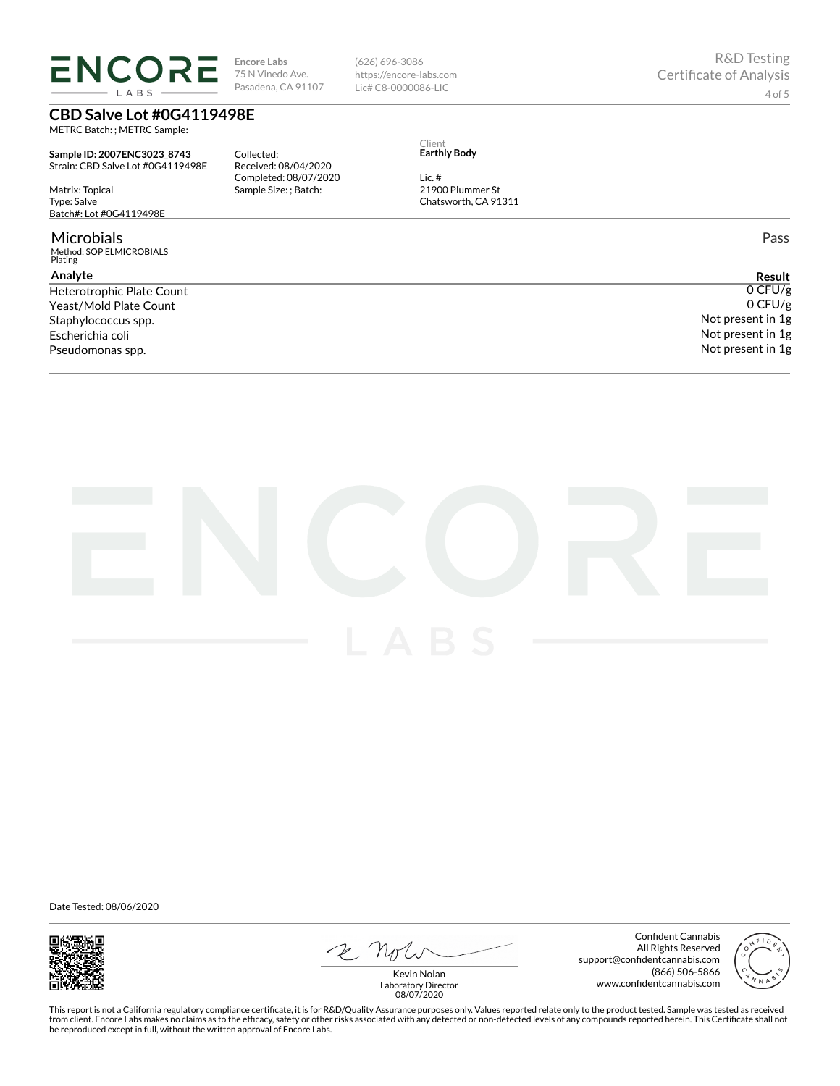# **ENCORE** LABS

**Encore Labs** 75 N Vinedo Ave. Pasadena, CA 91107 (626) 696-3086 https://encore-labs.com Lic# C8-0000086-LIC

**CBD Salve Lot #0G4119498E**

METRC Batch: ; METRC Sample:

**Sample ID: 2007ENC3023\_8743** Strain: CBD Salve Lot #0G4119498E

Matrix: Topical Type: Salve Batch#: Lot #0G4119498E

#### Microbials

Method: SOP ELMICROBIALS Plating

### **Analyte**

Yeast/Mold Plate Count Staphylococcus spp. Escherichia coli Pseudomonas spp.

Collected: Received: 08/04/2020 Completed: 08/07/2020 Sample Size: ; Batch:

Client **Earthly Body**

21900 Plummer St Chatsworth, CA 91311

Lic. #

Pass

**Result** Heterotrophic Plate Count  $0$  CFU/g 0 CFU/g Not present in 1g Not present in 1g Not present in 1g



Date Tested: 08/06/2020



 $2N$ 

Confident Cannabis All Rights Reserved support@confidentcannabis.com (866) 506-5866 www.confidentcannabis.com



Kevin Nolan Laboratory Director 08/07/2020

This report is not a California regulatory compliance certificate, it is for R&D/Quality Assurance purposes only. Values reported relate only to the product tested. Sample was tested as received from client. Encore Labs makes no claims as to the efficacy, safety or other risks associated with any detected or non-detected levels of any compounds reported herein. This Certificate shall not<br>be reproduced except in fu